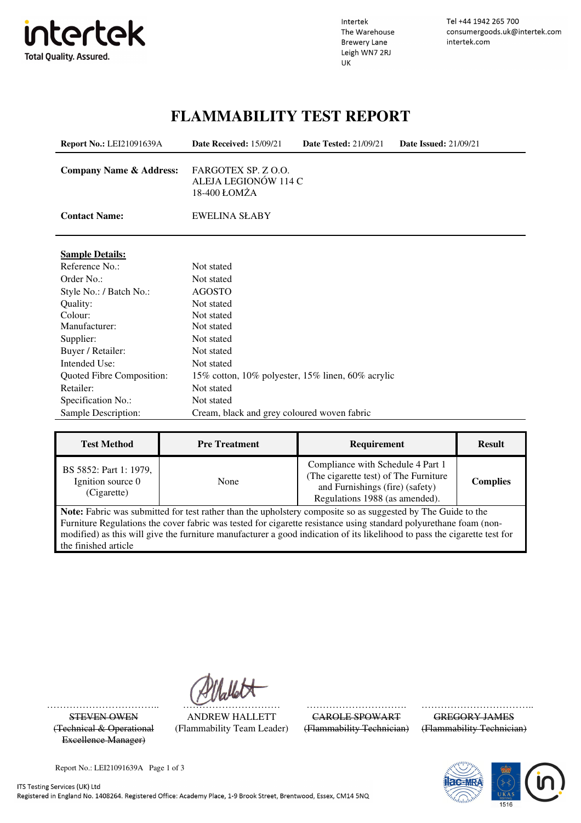

l.

Intertek The Warehouse **Brewery Lane** Leigh WN7 2RJ UK

Tel +44 1942 265 700 consumergoods.uk@intertek.com intertek.com

### **FLAMMABILITY TEST REPORT**

| <b>Report No.: LEI21091639A</b>    | <b>Date Received: 15/09/21</b>                              | <b>Date Tested: 21/09/21</b> | <b>Date Issued: 21/09/21</b> |
|------------------------------------|-------------------------------------------------------------|------------------------------|------------------------------|
| <b>Company Name &amp; Address:</b> | FARGOTEX SP. Z O.O.<br>ALEJA LEGIONÓW 114 C<br>18-400 ŁOMŻA |                              |                              |
| <b>Contact Name:</b>               | <b>EWELINA SŁABY</b>                                        |                              |                              |
| <b>Sample Details:</b>             |                                                             |                              |                              |
| Reference No.:                     | Not stated                                                  |                              |                              |
| Order No.:                         | Not stated                                                  |                              |                              |
| Style No.: / Batch No.:            | <b>AGOSTO</b>                                               |                              |                              |
| Quality:                           | Not stated                                                  |                              |                              |
| Colour:                            | Not stated                                                  |                              |                              |
| Manufacturer:                      | Not stated                                                  |                              |                              |
| Supplier:                          | Not stated                                                  |                              |                              |
| Buyer / Retailer:                  | Not stated                                                  |                              |                              |
| Intended Use:                      | Not stated                                                  |                              |                              |
| Quoted Fibre Composition:          | 15% cotton, 10% polyester, 15% linen, 60% acrylic           |                              |                              |
| Retailer:                          | Not stated                                                  |                              |                              |
| Specification No.:                 | Not stated                                                  |                              |                              |
| Sample Description:                | Cream, black and grey coloured woven fabric                 |                              |                              |

| <b>Test Method</b>                                         | <b>Pre Treatment</b> | <b>Requirement</b>                                                                                                                              | <b>Result</b>   |
|------------------------------------------------------------|----------------------|-------------------------------------------------------------------------------------------------------------------------------------------------|-----------------|
| BS 5852: Part 1: 1979,<br>Ignition source 0<br>(Cigarette) | None                 | Compliance with Schedule 4 Part 1<br>(The cigarette test) of The Furniture<br>and Furnishings (fire) (safety)<br>Regulations 1988 (as amended). | <b>Complies</b> |
|                                                            |                      | $\blacksquare$ Matar Falence controllered in the nether than the control state comments are accepted the The Colde to the                       |                 |

**Note:** Fabric was submitted for test rather than the upholstery composite so as suggested by The Guide to the Furniture Regulations the cover fabric was tested for cigarette resistance using standard polyurethane foam (nonmodified) as this will give the furniture manufacturer a good indication of its likelihood to pass the cigarette test for the finished article

(Technical & Operational Excellence Manager)

STEVEN OWEN ANDREW HALLETT CAROLE SPOWART GREGORY JAMES (Flammability Team Leader) (Flammability Technician) (Flammability Technician)

…………………………….. ………………………… …………………………. ……………………………...



Report No.: LEI21091639A Page 1 of 3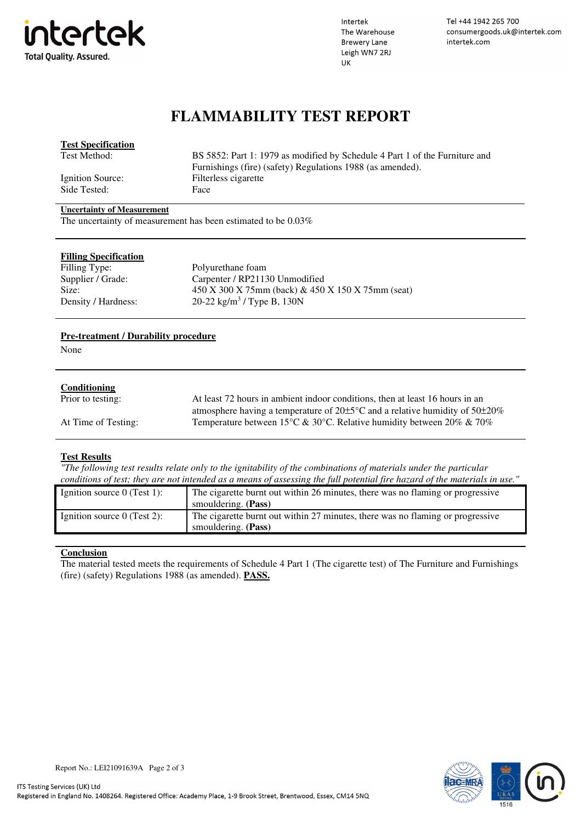

Intertek The Warehouse **Brewery Lane** Leigh WN7 2RJ UK

Tel +44 1942 265 700 consumergoods.uk@intertek.com intertek.com

## **FLAMMABILITY TEST REPORT**

| <b>Test Specification</b>         |                                                                             |
|-----------------------------------|-----------------------------------------------------------------------------|
| Test Method:                      | BS 5852: Part 1: 1979 as modified by Schedule 4 Part 1 of the Furniture and |
|                                   | Furnishings (fire) (safety) Regulations 1988 (as amended).                  |
| Ignition Source:                  | Filterless cigarette                                                        |
| Side Tested:                      | Face                                                                        |
| <b>Uncertainty of Measurement</b> |                                                                             |

The uncertainty of measurement has been estimated to be 0.03%

| <b>Filling Specification</b> |                                                       |
|------------------------------|-------------------------------------------------------|
| Filling Type:                | Polyurethane foam                                     |
| Supplier / Grade:            | Carpenter / RP21130 Unmodified                        |
| Size:                        | $450 X 300 X 75mm$ (back) & $450 X 150 X 75mm$ (seat) |
| Density / Hardness:          | 20-22 kg/m <sup>3</sup> / Type B, 130N                |

#### **Pre-treatment / Durability procedure**

None

#### **Conditioning**

| Prior to testing:   | At least 72 hours in ambient indoor conditions, then at least 16 hours in an                |
|---------------------|---------------------------------------------------------------------------------------------|
|                     | atmosphere having a temperature of $20\pm5\degree$ C and a relative humidity of $50\pm20\%$ |
| At Time of Testing: | Temperature between 15 °C & 30 °C. Relative humidity between 20% & 70%                      |

#### **Test Results**

*"The following test results relate only to the ignitability of the combinations of materials under the particular conditions of test; they are not intended as a means of assessing the full potential fire hazard of the materials in use."*

| Ignition source $0$ (Test 1): | The cigarette burnt out within 26 minutes, there was no flaming or progressive |
|-------------------------------|--------------------------------------------------------------------------------|
|                               | smouldering. (Pass)                                                            |
| Ignition source $0$ (Test 2): | The cigarette burnt out within 27 minutes, there was no flaming or progressive |
|                               | smouldering. (Pass)                                                            |

#### **Conclusion**

The material tested meets the requirements of Schedule 4 Part 1 (The cigarette test) of The Furniture and Furnishings (fire) (safety) Regulations 1988 (as amended). **PASS.**